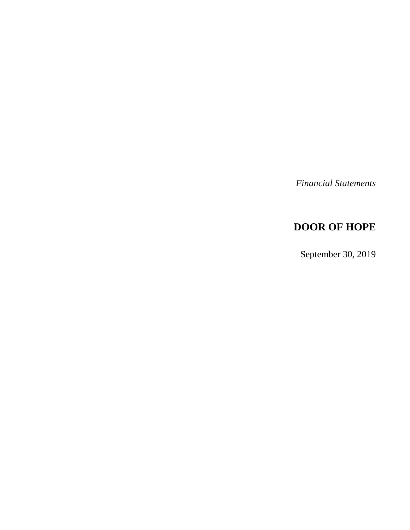*Financial Statements*

# **DOOR OF HOPE**

September 30, 2019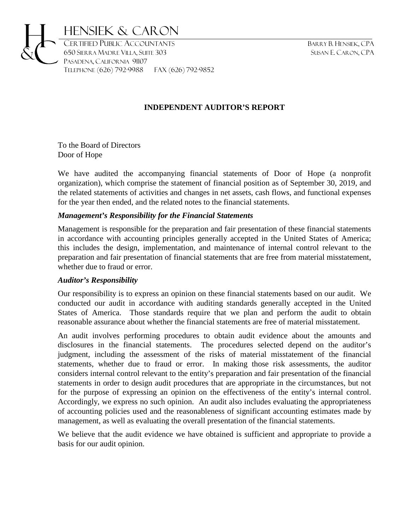

## **INDEPENDENT AUDITOR'S REPORT**

To the Board of Directors Door of Hope

We have audited the accompanying financial statements of Door of Hope (a nonprofit organization), which comprise the statement of financial position as of September 30, 2019, and the related statements of activities and changes in net assets, cash flows, and functional expenses for the year then ended, and the related notes to the financial statements.

## *Management's Responsibility for the Financial Statements*

Management is responsible for the preparation and fair presentation of these financial statements in accordance with accounting principles generally accepted in the United States of America; this includes the design, implementation, and maintenance of internal control relevant to the preparation and fair presentation of financial statements that are free from material misstatement, whether due to fraud or error.

#### *Auditor's Responsibility*

Our responsibility is to express an opinion on these financial statements based on our audit. We conducted our audit in accordance with auditing standards generally accepted in the United States of America. Those standards require that we plan and perform the audit to obtain reasonable assurance about whether the financial statements are free of material misstatement.

An audit involves performing procedures to obtain audit evidence about the amounts and disclosures in the financial statements. The procedures selected depend on the auditor's judgment, including the assessment of the risks of material misstatement of the financial statements, whether due to fraud or error. In making those risk assessments, the auditor considers internal control relevant to the entity's preparation and fair presentation of the financial statements in order to design audit procedures that are appropriate in the circumstances, but not for the purpose of expressing an opinion on the effectiveness of the entity's internal control. Accordingly, we express no such opinion. An audit also includes evaluating the appropriateness of accounting policies used and the reasonableness of significant accounting estimates made by management, as well as evaluating the overall presentation of the financial statements.

We believe that the audit evidence we have obtained is sufficient and appropriate to provide a basis for our audit opinion.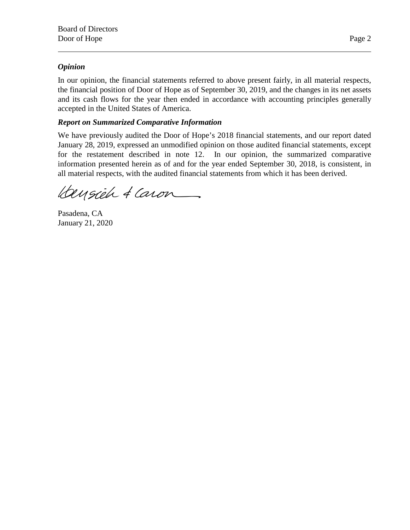# *Opinion*

In our opinion, the financial statements referred to above present fairly, in all material respects, the financial position of Door of Hope as of September 30, 2019, and the changes in its net assets and its cash flows for the year then ended in accordance with accounting principles generally accepted in the United States of America.

# *Report on Summarized Comparative Information*

We have previously audited the Door of Hope's 2018 financial statements, and our report dated January 28, 2019, expressed an unmodified opinion on those audited financial statements, except for the restatement described in note 12. In our opinion, the summarized comparative information presented herein as of and for the year ended September 30, 2018, is consistent, in all material respects, with the audited financial statements from which it has been derived.

Hensieh & Caron

Pasadena, CA January 21, 2020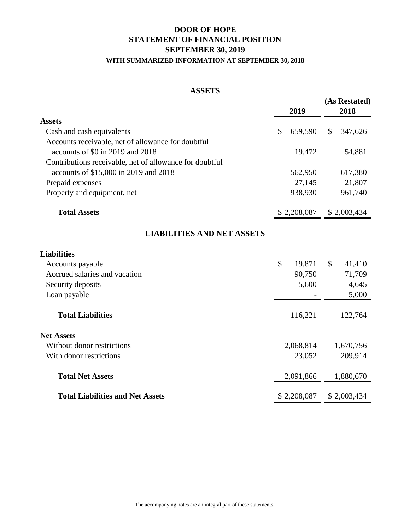# **DOOR OF HOPE STATEMENT OF FINANCIAL POSITION SEPTEMBER 30, 2019 WITH SUMMARIZED INFORMATION AT SEPTEMBER 30, 2018**

## **ASSETS**

|                                                         | 2019          |               | (As Restated)<br>2018 |
|---------------------------------------------------------|---------------|---------------|-----------------------|
| <b>Assets</b>                                           |               |               |                       |
| Cash and cash equivalents                               | \$<br>659,590 | \$            | 347,626               |
| Accounts receivable, net of allowance for doubtful      |               |               |                       |
| accounts of \$0 in 2019 and 2018                        | 19,472        |               | 54,881                |
| Contributions receivable, net of allowance for doubtful |               |               |                       |
| accounts of \$15,000 in 2019 and 2018                   | 562,950       |               | 617,380               |
| Prepaid expenses                                        | 27,145        |               | 21,807                |
| Property and equipment, net                             | 938,930       |               | 961,740               |
| <b>Total Assets</b>                                     | \$2,208,087   |               | \$2,003,434           |
| <b>LIABILITIES AND NET ASSETS</b>                       |               |               |                       |
| <b>Liabilities</b>                                      |               |               |                       |
| Accounts payable                                        | \$<br>19,871  | $\mathcal{S}$ | 41,410                |
| Accrued salaries and vacation                           | 90,750        |               | 71,709                |
| Security deposits                                       | 5,600         |               | 4,645                 |
| Loan payable                                            |               |               | 5,000                 |
| <b>Total Liabilities</b>                                | 116,221       |               | 122,764               |
| <b>Net Assets</b>                                       |               |               |                       |
| Without donor restrictions                              | 2,068,814     |               | 1,670,756             |
| With donor restrictions                                 | 23,052        |               | 209,914               |
| <b>Total Net Assets</b>                                 | 2,091,866     |               | 1,880,670             |
| <b>Total Liabilities and Net Assets</b>                 | \$2,208,087   |               | \$2,003,434           |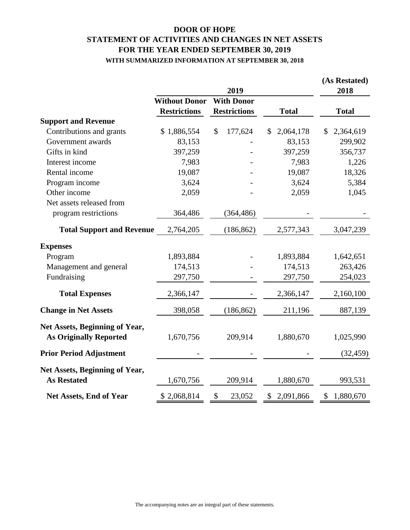# **DOOR OF HOPE STATEMENT OF ACTIVITIES AND CHANGES IN NET ASSETS FOR THE YEAR ENDED SEPTEMBER 30, 2019 WITH SUMMARIZED INFORMATION AT SEPTEMBER 30, 2018**

|                                                                 |                                             | 2019                                     |                 | (As Restated)<br>2018 |
|-----------------------------------------------------------------|---------------------------------------------|------------------------------------------|-----------------|-----------------------|
|                                                                 | <b>Without Donor</b><br><b>Restrictions</b> | <b>With Donor</b><br><b>Restrictions</b> | <b>Total</b>    | <b>Total</b>          |
| <b>Support and Revenue</b>                                      |                                             |                                          |                 |                       |
| Contributions and grants                                        | \$1,886,554                                 | $\mathcal{S}$<br>177,624                 | \$<br>2,064,178 | 2,364,619<br>\$       |
| Government awards                                               | 83,153                                      |                                          | 83,153          | 299,902               |
| Gifts in kind                                                   | 397,259                                     |                                          | 397,259         | 356,737               |
| Interest income                                                 | 7,983                                       |                                          | 7,983           | 1,226                 |
| Rental income                                                   | 19,087                                      |                                          | 19,087          | 18,326                |
| Program income                                                  | 3,624                                       |                                          | 3,624           | 5,384                 |
| Other income                                                    | 2,059                                       |                                          | 2,059           | 1,045                 |
| Net assets released from                                        |                                             |                                          |                 |                       |
| program restrictions                                            | 364,486                                     | (364, 486)                               |                 |                       |
| <b>Total Support and Revenue</b>                                | 2,764,205                                   | (186, 862)                               | 2,577,343       | 3,047,239             |
| <b>Expenses</b>                                                 |                                             |                                          |                 |                       |
| Program                                                         | 1,893,884                                   |                                          | 1,893,884       | 1,642,651             |
| Management and general                                          | 174,513                                     |                                          | 174,513         | 263,426               |
| Fundraising                                                     | 297,750                                     |                                          | 297,750         | 254,023               |
| <b>Total Expenses</b>                                           | 2,366,147                                   |                                          | 2,366,147       | 2,160,100             |
| <b>Change in Net Assets</b>                                     | 398,058                                     | (186, 862)                               | 211,196         | 887,139               |
| Net Assets, Beginning of Year,<br><b>As Originally Reported</b> | 1,670,756                                   | 209,914                                  | 1,880,670       | 1,025,990             |
| <b>Prior Period Adjustment</b>                                  |                                             |                                          |                 | (32, 459)             |
| Net Assets, Beginning of Year,<br><b>As Restated</b>            | 1,670,756                                   | 209,914                                  | 1,880,670       | 993,531               |
| Net Assets, End of Year                                         | \$2,068,814                                 | \$<br>23,052                             | \$<br>2,091,866 | \$<br>1,880,670       |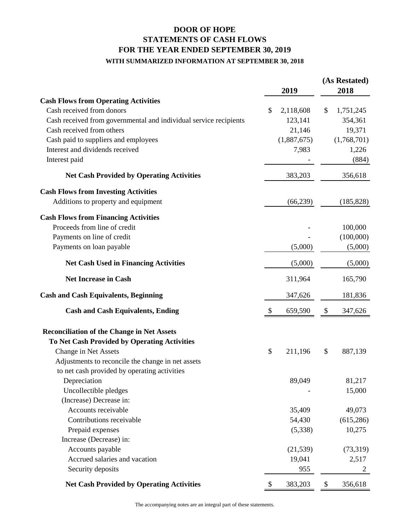# **DOOR OF HOPE STATEMENTS OF CASH FLOWS FOR THE YEAR ENDED SEPTEMBER 30, 2019 WITH SUMMARIZED INFORMATION AT SEPTEMBER 30, 2018**

|                                                                   |    | 2019        | (As Restated)<br>2018 |
|-------------------------------------------------------------------|----|-------------|-----------------------|
| <b>Cash Flows from Operating Activities</b>                       |    |             |                       |
| Cash received from donors                                         | \$ | 2,118,608   | \$<br>1,751,245       |
| Cash received from governmental and individual service recipients |    | 123,141     | 354,361               |
| Cash received from others                                         |    | 21,146      | 19,371                |
| Cash paid to suppliers and employees                              |    | (1,887,675) | (1,768,701)           |
| Interest and dividends received                                   |    | 7,983       | 1,226                 |
| Interest paid                                                     |    |             | (884)                 |
| <b>Net Cash Provided by Operating Activities</b>                  |    | 383,203     | 356,618               |
| <b>Cash Flows from Investing Activities</b>                       |    |             |                       |
| Additions to property and equipment                               |    | (66, 239)   | (185, 828)            |
| <b>Cash Flows from Financing Activities</b>                       |    |             |                       |
| Proceeds from line of credit                                      |    |             | 100,000               |
| Payments on line of credit                                        |    |             | (100,000)             |
| Payments on loan payable                                          |    | (5,000)     | (5,000)               |
| <b>Net Cash Used in Financing Activities</b>                      |    | (5,000)     | (5,000)               |
| <b>Net Increase in Cash</b>                                       |    | 311,964     | 165,790               |
| <b>Cash and Cash Equivalents, Beginning</b>                       |    | 347,626     | 181,836               |
| <b>Cash and Cash Equivalents, Ending</b>                          | -S | 659,590     | \$<br>347,626         |
| <b>Reconciliation of the Change in Net Assets</b>                 |    |             |                       |
| To Net Cash Provided by Operating Activities                      |    |             |                       |
| Change in Net Assets                                              | \$ | 211,196     | \$<br>887,139         |
| Adjustments to reconcile the change in net assets                 |    |             |                       |
| to net cash provided by operating activities                      |    |             |                       |
| Depreciation                                                      |    | 89,049      | 81,217                |
| Uncollectible pledges                                             |    |             | 15,000                |
| (Increase) Decrease in:                                           |    |             |                       |
| Accounts receivable                                               |    | 35,409      | 49,073                |
| Contributions receivable                                          |    | 54,430      | (615,286)             |
| Prepaid expenses                                                  |    | (5,338)     | 10,275                |
| Increase (Decrease) in:                                           |    |             |                       |
| Accounts payable                                                  |    | (21, 539)   | (73,319)              |
| Accrued salaries and vacation                                     |    | 19,041      | 2,517                 |
| Security deposits                                                 |    | 955         | 2                     |
| <b>Net Cash Provided by Operating Activities</b>                  | \$ | 383,203     | \$<br>356,618         |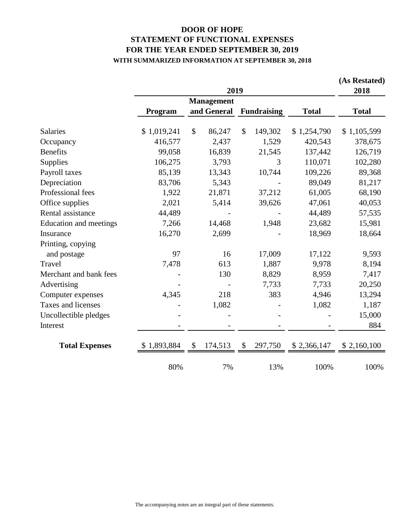# **DOOR OF HOPE STATEMENT OF FUNCTIONAL EXPENSES FOR THE YEAR ENDED SEPTEMBER 30, 2019 WITH SUMMARIZED INFORMATION AT SEPTEMBER 30, 2018**

|                        |             |                           | 2019                             |                    |              | (As Restated)<br>2018 |
|------------------------|-------------|---------------------------|----------------------------------|--------------------|--------------|-----------------------|
|                        | Program     |                           | <b>Management</b><br>and General | <b>Fundraising</b> | <b>Total</b> | <b>Total</b>          |
| <b>Salaries</b>        | \$1,019,241 | $\boldsymbol{\mathsf{S}}$ | 86,247                           | \$<br>149,302      | \$1,254,790  | \$1,105,599           |
| Occupancy              | 416,577     |                           | 2,437                            | 1,529              | 420,543      | 378,675               |
| <b>Benefits</b>        | 99,058      |                           | 16,839                           | 21,545             | 137,442      | 126,719               |
| Supplies               | 106,275     |                           | 3,793                            | 3                  | 110,071      | 102,280               |
| Payroll taxes          | 85,139      |                           | 13,343                           | 10,744             | 109,226      | 89,368                |
| Depreciation           | 83,706      |                           | 5,343                            |                    | 89,049       | 81,217                |
| Professional fees      | 1,922       |                           | 21,871                           | 37,212             | 61,005       | 68,190                |
| Office supplies        | 2,021       |                           | 5,414                            | 39,626             | 47,061       | 40,053                |
| Rental assistance      | 44,489      |                           |                                  |                    | 44,489       | 57,535                |
| Education and meetings | 7,266       |                           | 14,468                           | 1,948              | 23,682       | 15,981                |
| Insurance              | 16,270      |                           | 2,699                            |                    | 18,969       | 18,664                |
| Printing, copying      |             |                           |                                  |                    |              |                       |
| and postage            | 97          |                           | 16                               | 17,009             | 17,122       | 9,593                 |
| <b>Travel</b>          | 7,478       |                           | 613                              | 1,887              | 9,978        | 8,194                 |
| Merchant and bank fees |             |                           | 130                              | 8,829              | 8,959        | 7,417                 |
| Advertising            |             |                           |                                  | 7,733              | 7,733        | 20,250                |
| Computer expenses      | 4,345       |                           | 218                              | 383                | 4,946        | 13,294                |
| Taxes and licenses     |             |                           | 1,082                            |                    | 1,082        | 1,187                 |
| Uncollectible pledges  |             |                           |                                  |                    |              | 15,000                |
| Interest               |             |                           |                                  |                    |              | 884                   |
| <b>Total Expenses</b>  | \$1,893,884 | \$                        | 174,513                          | \$<br>297,750      | \$2,366,147  | \$2,160,100           |
|                        | 80%         |                           | 7%                               | 13%                | 100%         | 100%                  |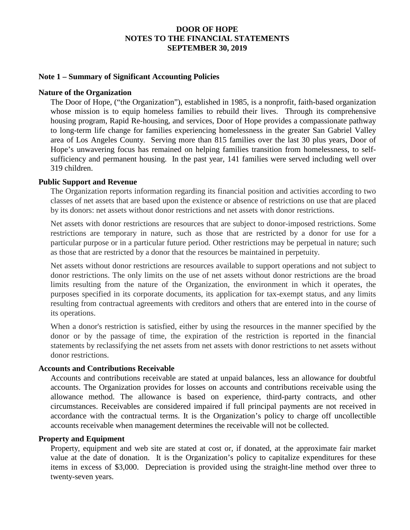## **Note 1 – Summary of Significant Accounting Policies**

## **Nature of the Organization**

The Door of Hope, ("the Organization"), established in 1985, is a nonprofit, faith-based organization whose mission is to equip homeless families to rebuild their lives. Through its comprehensive housing program, Rapid Re-housing, and services, Door of Hope provides a compassionate pathway to long-term life change for families experiencing homelessness in the greater San Gabriel Valley area of Los Angeles County. Serving more than 815 families over the last 30 plus years, Door of Hope's unwavering focus has remained on helping families transition from homelessness, to selfsufficiency and permanent housing. In the past year, 141 families were served including well over 319 children.

## **Public Support and Revenue**

The Organization reports information regarding its financial position and activities according to two classes of net assets that are based upon the existence or absence of restrictions on use that are placed by its donors: net assets without donor restrictions and net assets with donor restrictions.

Net assets with donor restrictions are resources that are subject to donor-imposed restrictions. Some restrictions are temporary in nature, such as those that are restricted by a donor for use for a particular purpose or in a particular future period. Other restrictions may be perpetual in nature; such as those that are restricted by a donor that the resources be maintained in perpetuity.

Net assets without donor restrictions are resources available to support operations and not subject to donor restrictions. The only limits on the use of net assets without donor restrictions are the broad limits resulting from the nature of the Organization, the environment in which it operates, the purposes specified in its corporate documents, its application for tax-exempt status, and any limits resulting from contractual agreements with creditors and others that are entered into in the course of its operations.

When a donor's restriction is satisfied, either by using the resources in the manner specified by the donor or by the passage of time, the expiration of the restriction is reported in the financial statements by reclassifying the net assets from net assets with donor restrictions to net assets without donor restrictions.

## **Accounts and Contributions Receivable**

Accounts and contributions receivable are stated at unpaid balances, less an allowance for doubtful accounts. The Organization provides for losses on accounts and contributions receivable using the allowance method. The allowance is based on experience, third-party contracts, and other circumstances. Receivables are considered impaired if full principal payments are not received in accordance with the contractual terms. It is the Organization's policy to charge off uncollectible accounts receivable when management determines the receivable will not be collected.

#### **Property and Equipment**

Property, equipment and web site are stated at cost or, if donated, at the approximate fair market value at the date of donation. It is the Organization's policy to capitalize expenditures for these items in excess of \$3,000. Depreciation is provided using the straight-line method over three to twenty-seven years.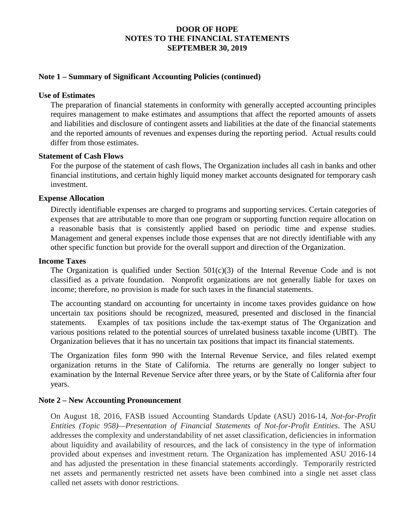## **Note 1 – Summary of Significant Accounting Policies (continued)**

## **Use of Estimates**

The preparation of financial statements in conformity with generally accepted accounting principles requires management to make estimates and assumptions that affect the reported amounts of assets and liabilities and disclosure of contingent assets and liabilities at the date of the financial statements and the reported amounts of revenues and expenses during the reporting period. Actual results could differ from those estimates.

## **Statement of Cash Flows**

For the purpose of the statement of cash flows, The Organization includes all cash in banks and other financial institutions, and certain highly liquid money market accounts designated for temporary cash investment.

## **Expense Allocation**

Directly identifiable expenses are charged to programs and supporting services. Certain categories of expenses that are attributable to more than one program or supporting function require allocation on a reasonable basis that is consistently applied based on periodic time and expense studies. Management and general expenses include those expenses that are not directly identifiable with any other specific function but provide for the overall support and direction of the Organization.

## **Income Taxes**

The Organization is qualified under Section  $501(c)(3)$  of the Internal Revenue Code and is not classified as a private foundation. Nonprofit organizations are not generally liable for taxes on income; therefore, no provision is made for such taxes in the financial statements.

The accounting standard on accounting for uncertainty in income taxes provides guidance on how uncertain tax positions should be recognized, measured, presented and disclosed in the financial statements. Examples of tax positions include the tax-exempt status of The Organization and various positions related to the potential sources of unrelated business taxable income (UBIT). The Organization believes that it has no uncertain tax positions that impact its financial statements.

The Organization files form 990 with the Internal Revenue Service, and files related exempt organization returns in the State of California. The returns are generally no longer subject to examination by the Internal Revenue Service after three years, or by the State of California after four years.

## **Note 2 – New Accounting Pronouncement**

On August 18, 2016, FASB issued Accounting Standards Update (ASU) 2016-14, *Not-for-Profit Entities (Topic 958)—Presentation of Financial Statements of Not-for-Profit Entities*. The ASU addresses the complexity and understandability of net asset classification, deficiencies in information about liquidity and availability of resources, and the lack of consistency in the type of information provided about expenses and investment return. The Organization has implemented ASU 2016-14 and has adjusted the presentation in these financial statements accordingly. Temporarily restricted net assets and permanently restricted net assets have been combined into a single net asset class called net assets with donor restrictions.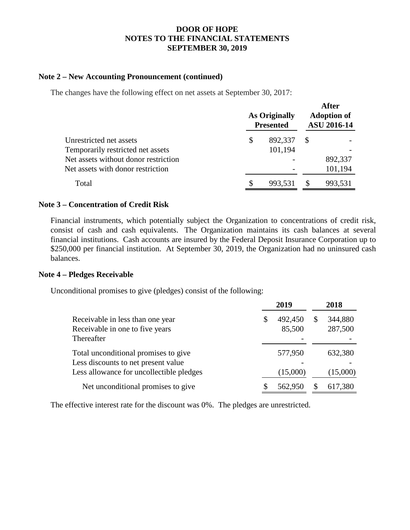## **Note 2 – New Accounting Pronouncement (continued)**

The changes have the following effect on net assets at September 30, 2017:

|                                      | <b>As Originally</b><br><b>Presented</b> | <b>After</b><br><b>Adoption of</b><br><b>ASU 2016-14</b> |         |  |
|--------------------------------------|------------------------------------------|----------------------------------------------------------|---------|--|
| Unrestricted net assets              | \$<br>892,337                            | S                                                        |         |  |
| Temporarily restricted net assets    | 101,194                                  |                                                          |         |  |
| Net assets without donor restriction |                                          |                                                          | 892,337 |  |
| Net assets with donor restriction    |                                          |                                                          | 101,194 |  |
| Total                                | \$<br>993,531                            | S                                                        | 993,531 |  |

## **Note 3 – Concentration of Credit Risk**

Financial instruments, which potentially subject the Organization to concentrations of credit risk, consist of cash and cash equivalents. The Organization maintains its cash balances at several financial institutions. Cash accounts are insured by the Federal Deposit Insurance Corporation up to \$250,000 per financial institution. At September 30, 2019, the Organization had no uninsured cash balances.

#### **Note 4 – Pledges Receivable**

Unconditional promises to give (pledges) consist of the following:

|                                                                                                                         | 2019                    |   | 2018                |
|-------------------------------------------------------------------------------------------------------------------------|-------------------------|---|---------------------|
| Receivable in less than one year<br>Receivable in one to five years<br>Thereafter                                       | \$<br>492,450<br>85,500 | S | 344,880<br>287,500  |
| Total unconditional promises to give<br>Less discounts to net present value<br>Less allowance for uncollectible pledges | 577,950<br>(15,000)     |   | 632,380<br>(15,000) |
| Net unconditional promises to give                                                                                      | 562,950                 |   | 617,380             |

The effective interest rate for the discount was 0%. The pledges are unrestricted.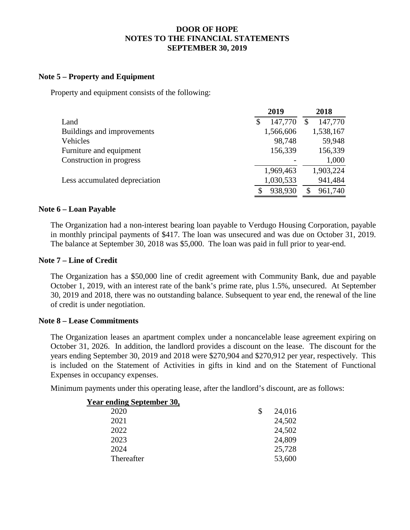## **Note 5 – Property and Equipment**

Property and equipment consists of the following:

|                               | 2019           | 2018      |
|-------------------------------|----------------|-----------|
| Land                          | 147,770        | 147,770   |
| Buildings and improvements    | 1,566,606      | 1,538,167 |
| Vehicles                      | 98,748         | 59,948    |
| Furniture and equipment       | 156,339        | 156,339   |
| Construction in progress      |                | 1,000     |
|                               | 1,969,463      | 1,903,224 |
| Less accumulated depreciation | 1,030,533      | 941,484   |
|                               | 938,930<br>\$. | 961,740   |
|                               |                |           |

## **Note 6 – Loan Payable**

The Organization had a non-interest bearing loan payable to Verdugo Housing Corporation, payable in monthly principal payments of \$417. The loan was unsecured and was due on October 31, 2019. The balance at September 30, 2018 was \$5,000. The loan was paid in full prior to year-end.

## **Note 7 – Line of Credit**

The Organization has a \$50,000 line of credit agreement with Community Bank, due and payable October 1, 2019, with an interest rate of the bank's prime rate, plus 1.5%, unsecured. At September 30, 2019 and 2018, there was no outstanding balance. Subsequent to year end, the renewal of the line of credit is under negotiation.

## **Note 8 – Lease Commitments**

The Organization leases an apartment complex under a noncancelable lease agreement expiring on October 31, 2026. In addition, the landlord provides a discount on the lease. The discount for the years ending September 30, 2019 and 2018 were \$270,904 and \$270,912 per year, respectively. This is included on the Statement of Activities in gifts in kind and on the Statement of Functional Expenses in occupancy expenses.

Minimum payments under this operating lease, after the landlord's discount, are as follows:

| <b>Year ending September 30,</b> |        |
|----------------------------------|--------|
| 2020                             | 24,016 |
| 2021                             | 24,502 |
| 2022                             | 24,502 |
| 2023                             | 24,809 |
| 2024                             | 25,728 |
| Thereafter                       | 53,600 |
|                                  |        |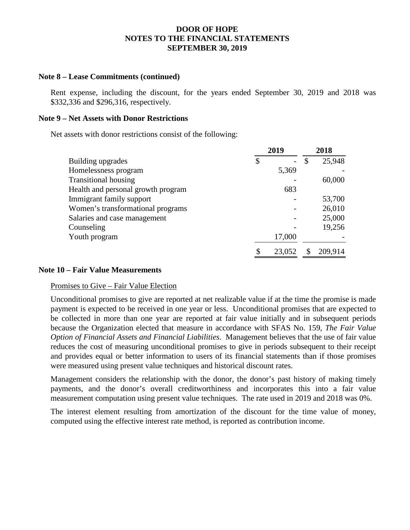#### **Note 8 – Lease Commitments (continued)**

Rent expense, including the discount, for the years ended September 30, 2019 and 2018 was \$332,336 and \$296,316, respectively.

#### **Note 9 – Net Assets with Donor Restrictions**

Net assets with donor restrictions consist of the following:

|                                    | 2019         | 2018    |
|------------------------------------|--------------|---------|
| Building upgrades                  | \$<br>-      | 25,948  |
| Homelessness program               | 5,369        |         |
| <b>Transitional housing</b>        |              | 60,000  |
| Health and personal growth program | 683          |         |
| Immigrant family support           |              | 53,700  |
| Women's transformational programs  |              | 26,010  |
| Salaries and case management       |              | 25,000  |
| Counseling                         |              | 19,256  |
| Youth program                      | 17,000       |         |
|                                    | \$<br>23,052 | 209,914 |

## **Note 10 – Fair Value Measurements**

#### Promises to Give – Fair Value Election

Unconditional promises to give are reported at net realizable value if at the time the promise is made payment is expected to be received in one year or less. Unconditional promises that are expected to be collected in more than one year are reported at fair value initially and in subsequent periods because the Organization elected that measure in accordance with SFAS No. 159, *The Fair Value Option of Financial Assets and Financial Liabilities*. Management believes that the use of fair value reduces the cost of measuring unconditional promises to give in periods subsequent to their receipt and provides equal or better information to users of its financial statements than if those promises were measured using present value techniques and historical discount rates.

Management considers the relationship with the donor, the donor's past history of making timely payments, and the donor's overall creditworthiness and incorporates this into a fair value measurement computation using present value techniques. The rate used in 2019 and 2018 was 0%.

The interest element resulting from amortization of the discount for the time value of money, computed using the effective interest rate method, is reported as contribution income.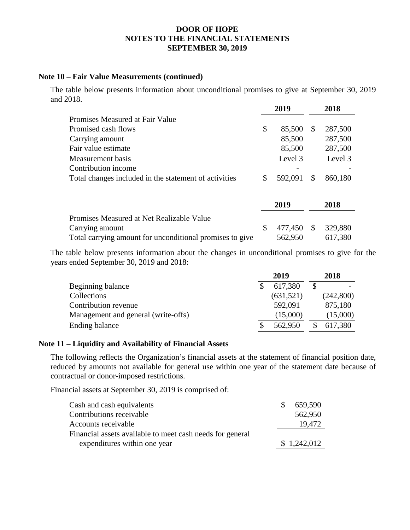#### **Note 10 – Fair Value Measurements (continued)**

The table below presents information about unconditional promises to give at September 30, 2019 and 2018.

|                                                       | 2019          |               | 2018    |
|-------------------------------------------------------|---------------|---------------|---------|
| Promises Measured at Fair Value                       |               |               |         |
| Promised cash flows                                   | \$<br>85,500  | <sup>\$</sup> | 287,500 |
| Carrying amount                                       | 85,500        |               | 287,500 |
| Fair value estimate                                   | 85,500        |               | 287,500 |
| Measurement basis                                     | Level 3       |               | Level 3 |
| Contribution income                                   |               |               |         |
| Total changes included in the statement of activities | \$<br>592,091 | $\mathbb{S}$  | 860,180 |
|                                                       | 2019          |               | 2018    |
| Promises Measured at Net Realizable Value             |               |               |         |
| Carrying amount                                       | \$<br>477,450 | \$            | 329,880 |

The table below presents information about the changes in unconditional promises to give for the years ended September 30, 2019 and 2018:

Total carrying amount for unconditional promises to give 562,950 617,380

|                                     | 2019      | 2018      |
|-------------------------------------|-----------|-----------|
| Beginning balance                   | 617,380   | \$        |
| Collections                         | (631,521) | (242,800) |
| Contribution revenue                | 592,091   | 875,180   |
| Management and general (write-offs) | (15,000)  | (15,000)  |
| Ending balance                      | 562,950   | 617,380   |

## **Note 11 – Liquidity and Availability of Financial Assets**

The following reflects the Organization's financial assets at the statement of financial position date, reduced by amounts not available for general use within one year of the statement date because of contractual or donor-imposed restrictions.

Financial assets at September 30, 2019 is comprised of:

| Cash and cash equivalents                                 | -SS | 659,590     |
|-----------------------------------------------------------|-----|-------------|
| Contributions receivable                                  |     | 562,950     |
| Accounts receivable                                       |     | 19.472      |
| Financial assets available to meet cash needs for general |     |             |
| expenditures within one year                              |     | \$1,242,012 |